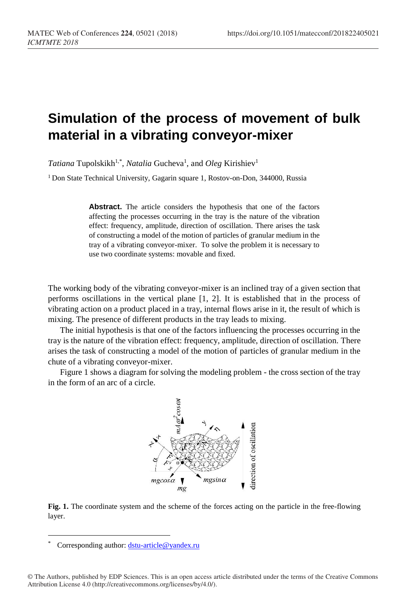## **Simulation of the process of movement of bulk material in a vibrating conveyor-mixer**

Tatiana Tupolskikh<sup>1,\*</sup>, *Natalia* Gucheva<sup>1</sup>, and *Oleg* Kirishiev<sup>1</sup>

<sup>1</sup> Don State Technical University, Gagarin square 1, Rostov-on-Don, 344000, Russia

**Abstract.** The article considers the hypothesis that one of the factors affecting the processes occurring in the tray is the nature of the vibration effect: frequency, amplitude, direction of oscillation. There arises the task of constructing a model of the motion of particles of granular medium in the tray of a vibrating conveyor-mixer. To solve the problem it is necessary to use two coordinate systems: movable and fixed.

The working body of the vibrating conveyor-mixer is an inclined tray of a given section that performs oscillations in the vertical plane [1, 2]. It is established that in the process of vibrating action on a product placed in a tray, internal flows arise in it, the result of which is mixing. The presence of different products in the tray leads to mixing.

The initial hypothesis is that one of the factors influencing the processes occurring in the tray is the nature of the vibration effect: frequency, amplitude, direction of oscillation. There arises the task of constructing a model of the motion of particles of granular medium in the chute of a vibrating conveyor-mixer.

Figure 1 shows a diagram for solving the modeling problem - the cross section of the tray in the form of an arc of a circle.



**Fig. 1.** The coordinate system and the scheme of the forces acting on the particle in the free-flowing layer.

 $\overline{a}$ 

<sup>\*</sup> Corresponding author: [dstu-article@yandex.ru](mailto:dstu-article@yandex.ru)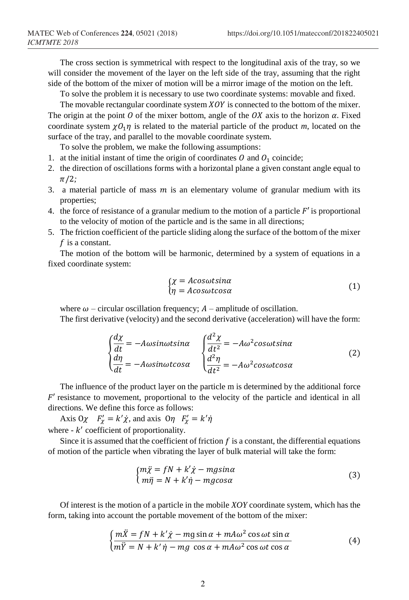The cross section is symmetrical with respect to the longitudinal axis of the tray, so we will consider the movement of the layer on the left side of the tray, assuming that the right side of the bottom of the mixer of motion will be a mirror image of the motion on the left.

To solve the problem it is necessary to use two coordinate systems: movable and fixed.

The movable rectangular coordinate system  $XOY$  is connected to the bottom of the mixer. The origin at the point O of the mixer bottom, angle of the OX axis to the horizon  $\alpha$ . Fixed coordinate system  $\chi O_1 \eta$  is related to the material particle of the product *m*, located on the surface of the tray, and parallel to the movable coordinate system.

To solve the problem, we make the following assumptions:

- 1. at the initial instant of time the origin of coordinates  $\hat{O}$  and  $\hat{O}_1$  coincide;
- 2. the direction of oscillations forms with a horizontal plane a given constant angle equal to  $\pi/2;$
- 3. a material particle of mass  $m$  is an elementary volume of granular medium with its properties;
- 4. the force of resistance of a granular medium to the motion of a particle  $F'$  is proportional to the velocity of motion of the particle and is the same in all directions;
- 5. The friction coefficient of the particle sliding along the surface of the bottom of the mixer  $f$  is a constant.

The motion of the bottom will be harmonic, determined by a system of equations in a fixed coordinate system:

$$
\begin{cases}\n\chi = A \cos \omega t \sin \alpha \\
\eta = A \cos \omega t \cos \alpha\n\end{cases}
$$
\n(1)

where  $\omega$  – circular oscillation frequency;  $A$  – amplitude of oscillation.

The first derivative (velocity) and the second derivative (acceleration) will have the form:

$$
\begin{cases}\n\frac{d\chi}{dt} = -A\omega sin\omega t sin\alpha & \int \frac{d^2\chi}{dt^2} = -A\omega^2 cos\omega t sin\alpha \\
\frac{d\eta}{dt} = -A\omega sin\omega t cos\alpha & \int \frac{d^2\eta}{dt^2} = -A\omega^2 cos\omega t cos\alpha\n\end{cases}
$$
\n(2)

The influence of the product layer on the particle m is determined by the additional force  $F'$  resistance to movement, proportional to the velocity of the particle and identical in all directions. We define this force as follows:

Axis O $\chi$   $F'_\chi = k' \dot{\chi}$ , and axis O $\eta$   $F'_\chi = k' \dot{\eta}$ where  $-k'$  coefficient of proportionality.

Since it is assumed that the coefficient of friction  $f$  is a constant, the differential equations of motion of the particle when vibrating the layer of bulk material will take the form:

$$
\begin{cases}\nm\ddot{\chi} = fN + k'\dot{\chi} - mg\sin\alpha\\
m\ddot{\eta} = N + k'\dot{\eta} - mg\cos\alpha\end{cases}
$$
\n(3)

Of interest is the motion of a particle in the mobile *XOY* coordinate system, which has the form, taking into account the portable movement of the bottom of the mixer:

$$
\begin{cases} \frac{m\ddot{x} = fN + k'\dot{x} - mg\sin\alpha + mA\omega^2\cos\omega t\sin\alpha}{m\ddot{y} = N + k'\dot{\eta} - mg\cos\alpha + mA\omega^2\cos\omega t\cos\alpha} \end{cases}
$$
(4)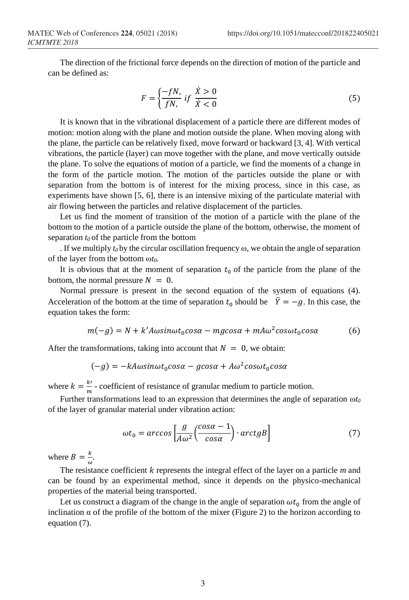The direction of the frictional force depends on the direction of motion of the particle and can be defined as:

$$
F = \left\{ \frac{-fN}{fN}, \text{ if } \frac{\dot{X} > 0}{\dot{X} < 0} \right\} \tag{5}
$$

It is known that in the vibrational displacement of a particle there are different modes of motion: motion along with the plane and motion outside the plane. When moving along with the plane, the particle can be relatively fixed, move forward or backward  $[3, 4]$ . With vertical vibrations, the particle (layer) can move together with the plane, and move vertically outside the plane. To solve the equations of motion of a particle, we find the moments of a change in the form of the particle motion. The motion of the particles outside the plane or with separation from the bottom is of interest for the mixing process, since in this case, as experiments have shown [5, 6], there is an intensive mixing of the particulate material with air flowing between the particles and relative displacement of the particles.

Let us find the moment of transition of the motion of a particle with the plane of the bottom to the motion of a particle outside the plane of the bottom, otherwise, the moment of separation *t0* of the particle from the bottom

. If we multiply  $t_0$  by the circular oscillation frequency  $\omega$ , we obtain the angle of separation of the layer from the bottom ω*t0.*

It is obvious that at the moment of separation  $t_0$  of the particle from the plane of the bottom, the normal pressure  $N = 0$ .

Normal pressure is present in the second equation of the system of equations (4). Acceleration of the bottom at the time of separation  $t_0$  should be  $\ddot{Y} = -g$ . In this case, the equation takes the form:

$$
m(-g) = N + k'A\omega sin\omega t_0 cos\alpha - mgcos\alpha + mA\omega^2 cos\omega t_0 cos\alpha \tag{6}
$$

After the transformations, taking into account that  $N = 0$ , we obtain:

$$
(-g) = -kA\omega sin\omega t_0 cos\alpha - g cos\alpha + A\omega^2 cos\omega t_0 cos\alpha
$$

where  $k = \frac{k'}{m}$  $\frac{\hbar'}{m}$  - coefficient of resistance of granular medium to particle motion.

Further transformations lead to an expression that determines the angle of separation ω*t<sup>0</sup>* of the layer of granular material under vibration action:

$$
\omega t_0 = \arccos\left[\frac{g}{A\omega^2} \left(\frac{\cos\alpha - 1}{\cos\alpha}\right) \cdot \arctgB\right] \tag{7}
$$

where  $B = \frac{k}{v}$  $\frac{\kappa}{\omega}$ .

The resistance coefficient *k* represents the integral effect of the layer on a particle *m* and can be found by an experimental method, since it depends on the physico-mechanical properties of the material being transported.

Let us construct a diagram of the change in the angle of separation  $\omega t_0$  from the angle of inclination  $\alpha$  of the profile of the bottom of the mixer (Figure 2) to the horizon according to equation (7).